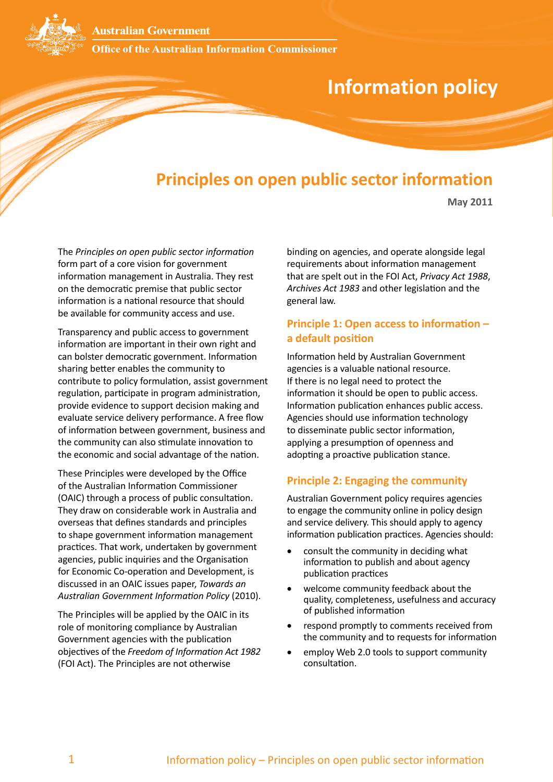**Australian Government** 

**Office of the Australian Information Commissioner** 

# **Information policy**

# **Principles on open public sector information**

**May 2011**

The *Principles on open public sector information*  form part of a core vision for government information management in Australia. They rest on the democratic premise that public sector information is a national resource that should be available for community access and use.

Transparency and public access to government information are important in their own right and can bolster democratic government. Information sharing better enables the community to contribute to policy formulation, assist government regulation, participate in program administration, provide evidence to support decision making and evaluate service delivery performance. A free flow of information between government, business and the community can also stimulate innovation to the economic and social advantage of the nation.

These Principles were developed by the Office of the Australian Information Commissioner (OAIC) through a process of public consultation. They draw on considerable work in Australia and overseas that defines standards and principles to shape government information management practices. That work, undertaken by government agencies, public inquiries and the Organisation for Economic Co-operation and Development, is discussed in an OAIC issues paper, *Towards an Australian Government Information Policy* (2010).

The Principles will be applied by the OAIC in its role of monitoring compliance by Australian Government agencies with the publication objectives of the *Freedom of Information Act 1982* (FOI Act). The Principles are not otherwise

binding on agencies, and operate alongside legal requirements about information management that are spelt out in the FOI Act, *Privacy Act 1988*, *Archives Act 1983* and other legislation and the general law.

# **Principle 1: Open access to information – a default position**

Information held by Australian Government agencies is a valuable national resource. If there is no legal need to protect the information it should be open to public access. Information publication enhances public access. Agencies should use information technology to disseminate public sector information, applying a presumption of openness and adopting a proactive publication stance.

#### **Principle 2: Engaging the community**

Australian Government policy requires agencies to engage the community online in policy design and service delivery. This should apply to agency information publication practices. Agencies should:

- consult the community in deciding what information to publish and about agency publication practices
- welcome community feedback about the quality, completeness, usefulness and accuracy of published information
- respond promptly to comments received from the community and to requests for information
- employ Web 2.0 tools to support community consultation.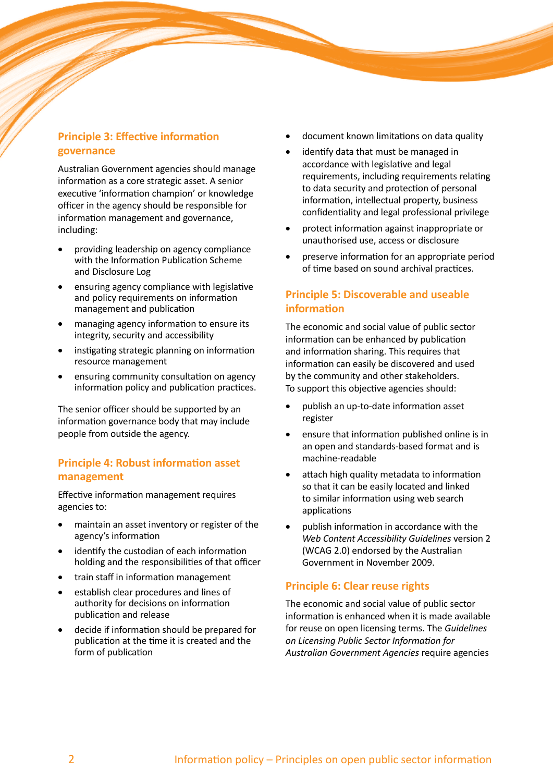# **Principle 3: Effective information governance**

Australian Government agencies should manage information as a core strategic asset. A senior executive 'information champion' or knowledge officer in the agency should be responsible for information management and governance, including:

- providing leadership on agency compliance with the Information Publication Scheme and Disclosure Log
- ensuring agency compliance with legislative and policy requirements on information management and publication
- managing agency information to ensure its integrity, security and accessibility
- instigating strategic planning on information resource management
- ensuring community consultation on agency information policy and publication practices.

The senior officer should be supported by an information governance body that may include people from outside the agency.

# **Principle 4: Robust information asset management**

Effective information management requires agencies to:

- maintain an asset inventory or register of the agency's information
- identify the custodian of each information holding and the responsibilities of that officer
- train staff in information management
- establish clear procedures and lines of authority for decisions on information publication and release
- decide if information should be prepared for publication at the time it is created and the form of publication
- document known limitations on data quality
- identify data that must be managed in accordance with legislative and legal requirements, including requirements relating to data security and protection of personal information, intellectual property, business confidentiality and legal professional privilege
- protect information against inappropriate or unauthorised use, access or disclosure
- preserve information for an appropriate period of time based on sound archival practices.

# **Principle 5: Discoverable and useable information**

The economic and social value of public sector information can be enhanced by publication and information sharing. This requires that information can easily be discovered and used by the community and other stakeholders. To support this objective agencies should:

- publish an up-to-date information asset register
- ensure that information published online is in an open and standards-based format and is machine-readable
- attach high quality metadata to information so that it can be easily located and linked to similar information using web search applications
- publish information in accordance with the *Web Content Accessibility Guidelines* version 2 (WCAG 2.0) endorsed by the Australian Government in November 2009.

# **Principle 6: Clear reuse rights**

The economic and social value of public sector information is enhanced when it is made available for reuse on open licensing terms. The *Guidelines on Licensing Public Sector Information for Australian Government Agencies* require agencies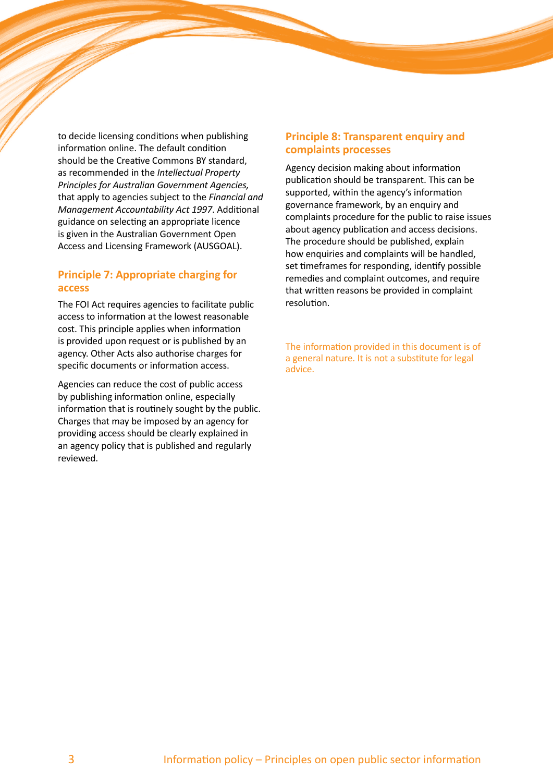to decide licensing conditions when publishing information online. The default condition should be the Creative Commons BY standard, as recommended in the *Intellectual Property Principles for Australian Government Agencies,* that apply to agencies subject to the *Financial and Management Accountability Act 1997*. Additional guidance on selecting an appropriate licence is given in the Australian Government Open Access and Licensing Framework (AUSGOAL).

### **Principle 7: Appropriate charging for access**

The FOI Act requires agencies to facilitate public access to information at the lowest reasonable cost. This principle applies when information is provided upon request or is published by an agency. Other Acts also authorise charges for specific documents or information access.

Agencies can reduce the cost of public access by publishing information online, especially information that is routinely sought by the public. Charges that may be imposed by an agency for providing access should be clearly explained in an agency policy that is published and regularly reviewed.

## **Principle 8: Transparent enquiry and complaints processes**

Agency decision making about information publication should be transparent. This can be supported, within the agency's information governance framework, by an enquiry and complaints procedure for the public to raise issues about agency publication and access decisions. The procedure should be published, explain how enquiries and complaints will be handled, set timeframes for responding, identify possible remedies and complaint outcomes, and require that written reasons be provided in complaint resolution.

The information provided in this document is of a general nature. It is not a substitute for legal advice.